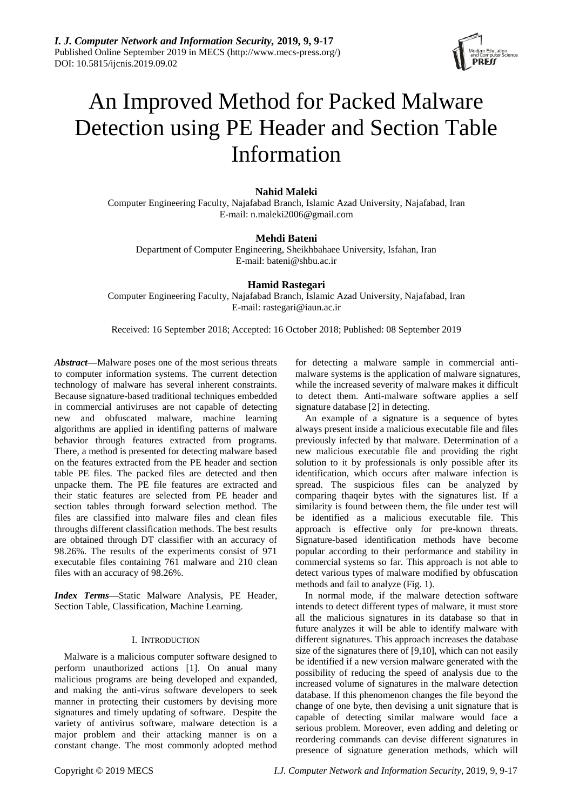

# An Improved Method for Packed Malware Detection using PE Header and Section Table Information

# **Nahid Maleki**

Computer Engineering Faculty, Najafabad Branch, Islamic Azad University, Najafabad, Iran E-mail: n.maleki2006@gmail.com

# **Mehdi Bateni**

Department of Computer Engineering, Sheikhbahaee University, Isfahan, Iran E-mail: bateni@shbu.ac.ir

# **Hamid Rastegari**

Computer Engineering Faculty, Najafabad Branch, Islamic Azad University, Najafabad, Iran E-mail: rastegari@iaun.ac.ir

Received: 16 September 2018; Accepted: 16 October 2018; Published: 08 September 2019

*Abstract***—**Malware poses one of the most serious threats to computer information systems. The current detection technology of malware has several inherent constraints. Because signature-based traditional techniques embedded in commercial antiviruses are not capable of detecting new and obfuscated malware, machine learning algorithms are applied in identifing patterns of malware behavior through features extracted from programs. There, a method is presented for detecting malware based on the features extracted from the PE header and section table PE files. The packed files are detected and then unpacke them. The PE file features are extracted and their static features are selected from PE header and section tables through forward selection method. The files are classified into malware files and clean files throughs different classification methods. The best results are obtained through DT classifier with an accuracy of 98.26%. The results of the experiments consist of 971 executable files containing 761 malware and 210 clean files with an accuracy of 98.26%.

*Index Terms***—**Static Malware Analysis, PE Header, Section Table, Classification, Machine Learning.

# I. INTRODUCTION

Malware is a malicious computer software designed to perform unauthorized actions [1]. On anual many malicious programs are being developed and expanded, and making the anti-virus software developers to seek manner in protecting their customers by devising more signatures and timely updating of software. Despite the variety of antivirus software, malware detection is a major problem and their attacking manner is on a constant change. The most commonly adopted method for detecting a malware sample in commercial antimalware systems is the application of malware signatures, while the increased severity of malware makes it difficult to detect them. Anti-malware software applies a self signature database [2] in detecting.

An example of a signature is a sequence of bytes always present inside a malicious executable file and files previously infected by that malware. Determination of a new malicious executable file and providing the right solution to it by professionals is only possible after its identification, which occurs after malware infection is spread. The suspicious files can be analyzed by comparing thaqeir bytes with the signatures list. If a similarity is found between them, the file under test will be identified as a malicious executable file. This approach is effective only for pre-known threats. Signature-based identification methods have become popular according to their performance and stability in commercial systems so far. This approach is not able to detect various types of malware modified by obfuscation methods and fail to analyze (Fig. 1).

In normal mode, if the malware detection software intends to detect different types of malware, it must store all the malicious signatures in its database so that in future analyzes it will be able to identify malware with different signatures. This approach increases the database size of the signatures there of [9,10], which can not easily be identified if a new version malware generated with the possibility of reducing the speed of analysis due to the increased volume of signatures in the malware detection database. If this phenomenon changes the file beyond the change of one byte, then devising a unit signature that is capable of detecting similar malware would face a serious problem. Moreover, even adding and deleting or reordering commands can devise different signatures in presence of signature generation methods, which will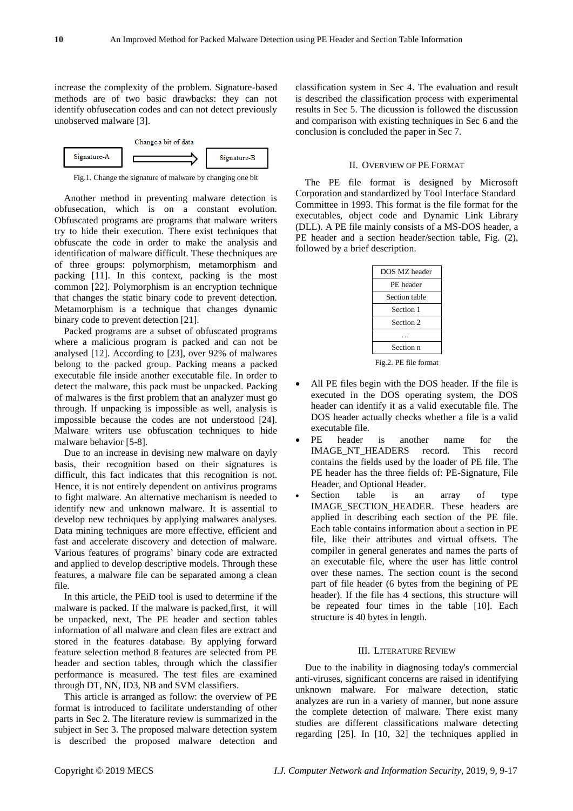increase the complexity of the problem. Signature-based methods are of two basic drawbacks: they can not identify obfusecation codes and can not detect previously unobserved malware [3].



Fig.1. Change the signature of malware by changing one bit

Another method in preventing malware detection is obfusecation, which is on a constant evolution. Obfuscated programs are programs that malware writers try to hide their execution. There exist techniques that obfuscate the code in order to make the analysis and identification of malware difficult. These thechniques are of three groups: polymorphism, metamorphism and packing [11]. In this context, packing is the most common [22]. Polymorphism is an encryption technique that changes the static binary code to prevent detection. Metamorphism is a technique that changes dynamic binary code to prevent detection [21].

Packed programs are a subset of obfuscated programs where a malicious program is packed and can not be analysed [12]. According to [23], over 92% of malwares belong to the packed group. Packing means a packed executable file inside another executable file. In order to detect the malware, this pack must be unpacked. Packing of malwares is the first problem that an analyzer must go through. If unpacking is impossible as well, analysis is impossible because the codes are not understood [24]. Malware writers use obfuscation techniques to hide malware behavior [5-8].

Due to an increase in devising new malware on dayly basis, their recognition based on their signatures is difficult, this fact indicates that this recognition is not. Hence, it is not entirely dependent on antivirus programs to fight malware. An alternative mechanism is needed to identify new and unknown malware. It is assential to develop new techniques by applying malwares analyses. Data mining techniques are more effective, efficient and fast and accelerate discovery and detection of malware. Various features of programs" binary code are extracted and applied to develop descriptive models. Through these features, a malware file can be separated among a clean file.

In this article, the PEiD tool is used to determine if the malware is packed. If the malware is packed,first, it will be unpacked, next, The PE header and section tables information of all malware and clean files are extract and stored in the features database. By applying forward feature selection method 8 features are selected from PE header and section tables, through which the classifier performance is measured. The test files are examined through DT, NN, ID3, NB and SVM classifiers.

This article is arranged as follow: the overview of PE format is introduced to facilitate understanding of other parts in Sec 2. The literature review is summarized in the subject in Sec 3. The proposed malware detection system is described the proposed malware detection and

classification system in Sec 4. The evaluation and result is described the classification process with experimental results in Sec 5. The dicussion is followed the discussion and comparison with existing techniques in Sec 6 and the conclusion is concluded the paper in Sec 7.

# II. OVERVIEW OF PE FORMAT

The PE file format is designed by Microsoft Corporation and standardized by Tool Interface Standard Committee in 1993. This format is the file format for the executables, object code and Dynamic Link Library (DLL). A PE file mainly consists of a MS-DOS header, a PE header and a section header/section table, Fig. (2), followed by a brief description.

| DOS MZ header |
|---------------|
| PE header     |
| Section table |
| Section 1     |
| Section 2     |
|               |
| Section n     |
|               |

Fig.2. PE file format

- All PE files begin with the DOS header. If the file is executed in the DOS operating system, the DOS header can identify it as a valid executable file. The DOS header actually checks whether a file is a valid executable file.
- PE header is another name for the IMAGE NT HEADERS record. This record contains the fields used by the loader of PE file. The PE header has the three fields of: PE-Signature, File Header, and Optional Header.
- Section table is an array of type IMAGE SECTION HEADER. These headers are applied in describing each section of the PE file. Each table contains information about a section in PE file, like their attributes and virtual offsets. The compiler in general generates and names the parts of an executable file, where the user has little control over these names. The section count is the second part of file header (6 bytes from the begining of PE header). If the file has 4 sections, this structure will be repeated four times in the table [10]. Each structure is 40 bytes in length.

## III. LITERATURE REVIEW

Due to the inability in diagnosing today's commercial anti-viruses, significant concerns are raised in identifying unknown malware. For malware detection, static analyzes are run in a variety of manner, but none assure the complete detection of malware. There exist many studies are different classifications malware detecting regarding [25]. In [10, 32] the techniques applied in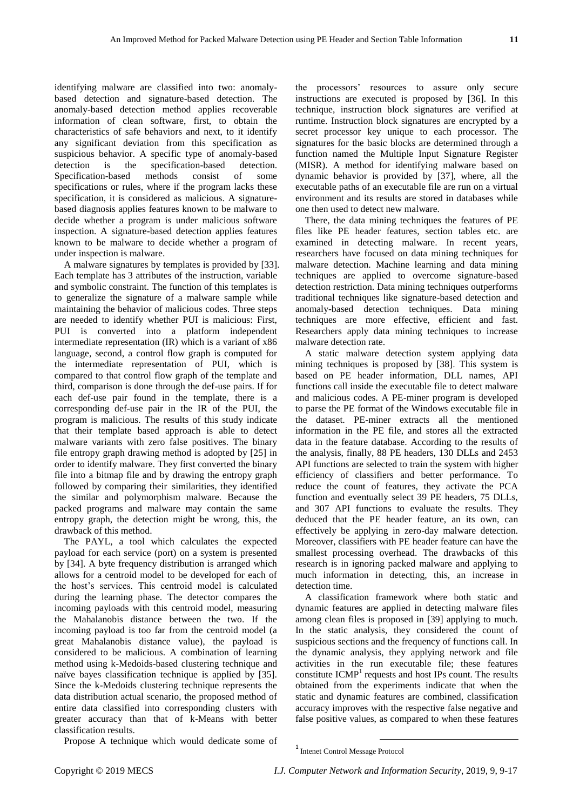identifying malware are classified into two: anomalybased detection and signature-based detection. The anomaly-based detection method applies recoverable information of clean software, first, to obtain the characteristics of safe behaviors and next, to it identify any significant deviation from this specification as suspicious behavior. A specific type of anomaly-based detection is the specification-based detection. Specification-based methods consist of some specifications or rules, where if the program lacks these specification, it is considered as malicious. A signaturebased diagnosis applies features known to be malware to decide whether a program is under malicious software inspection. A signature-based detection applies features known to be malware to decide whether a program of under inspection is malware.

A malware signatures by templates is provided by [33]. Each template has 3 attributes of the instruction, variable and symbolic constraint. The function of this templates is to generalize the signature of a malware sample while maintaining the behavior of malicious codes. Three steps are needed to identify whether PUI is malicious: First, PUI is converted into a platform independent intermediate representation (IR) which is a variant of x86 language, second, a control flow graph is computed for the intermediate representation of PUI, which is compared to that control flow graph of the template and third, comparison is done through the def-use pairs. If for each def-use pair found in the template, there is a corresponding def-use pair in the IR of the PUI, the program is malicious. The results of this study indicate that their template based approach is able to detect malware variants with zero false positives. The binary file entropy graph drawing method is adopted by [25] in order to identify malware. They first converted the binary file into a bitmap file and by drawing the entropy graph followed by comparing their similarities, they identified the similar and polymorphism malware. Because the packed programs and malware may contain the same entropy graph, the detection might be wrong, this, the drawback of this method.

The PAYL, a tool which calculates the expected payload for each service (port) on a system is presented by [34]. A byte frequency distribution is arranged which allows for a centroid model to be developed for each of the host"s services. This centroid model is calculated during the learning phase. The detector compares the incoming payloads with this centroid model, measuring the Mahalanobis distance between the two. If the incoming payload is too far from the centroid model (a great Mahalanobis distance value), the payload is considered to be malicious. A combination of learning method using k-Medoids-based clustering technique and na we bayes classification technique is applied by [35]. Since the k-Medoids clustering technique represents the data distribution actual scenario, the proposed method of entire data classified into corresponding clusters with greater accuracy than that of k-Means with better classification results.

Propose A technique which would dedicate some of

the processors" resources to assure only secure instructions are executed is proposed by [36]. In this technique, instruction block signatures are verified at runtime. Instruction block signatures are encrypted by a secret processor key unique to each processor. The signatures for the basic blocks are determined through a function named the Multiple Input Signature Register (MISR). A method for identifying malware based on dynamic behavior is provided by [37], where, all the executable paths of an executable file are run on a virtual environment and its results are stored in databases while one then used to detect new malware.

There, the data mining techniques the features of PE files like PE header features, section tables etc. are examined in detecting malware. In recent years, researchers have focused on data mining techniques for malware detection. Machine learning and data mining techniques are applied to overcome signature-based detection restriction. Data mining techniques outperforms traditional techniques like signature-based detection and anomaly-based detection techniques. Data mining techniques are more effective, efficient and fast. Researchers apply data mining techniques to increase malware detection rate.

A static malware detection system applying data mining techniques is proposed by [38]. This system is based on PE header information, DLL names, API functions call inside the executable file to detect malware and malicious codes. A PE-miner program is developed to parse the PE format of the Windows executable file in the dataset. PE-miner extracts all the mentioned information in the PE file, and stores all the extracted data in the feature database. According to the results of the analysis, finally, 88 PE headers, 130 DLLs and 2453 API functions are selected to train the system with higher efficiency of classifiers and better performance. To reduce the count of features, they activate the PCA function and eventually select 39 PE headers, 75 DLLs, and 307 API functions to evaluate the results. They deduced that the PE header feature, an its own, can effectively be applying in zero-day malware detection. Moreover, classifiers with PE header feature can have the smallest processing overhead. The drawbacks of this research is in ignoring packed malware and applying to much information in detecting, this, an increase in detection time.

A classification framework where both static and dynamic features are applied in detecting malware files among clean files is proposed in [39] applying to much. In the static analysis, they considered the count of suspicious sections and the frequency of functions call. In the dynamic analysis, they applying network and file activities in the run executable file; these features constitute  $ICMP<sup>1</sup>$  requests and host IPs count. The results obtained from the experiments indicate that when the static and dynamic features are combined, classification accuracy improves with the respective false negative and false positive values, as compared to when these features

1

<sup>1</sup> Intenet Control Message Protocol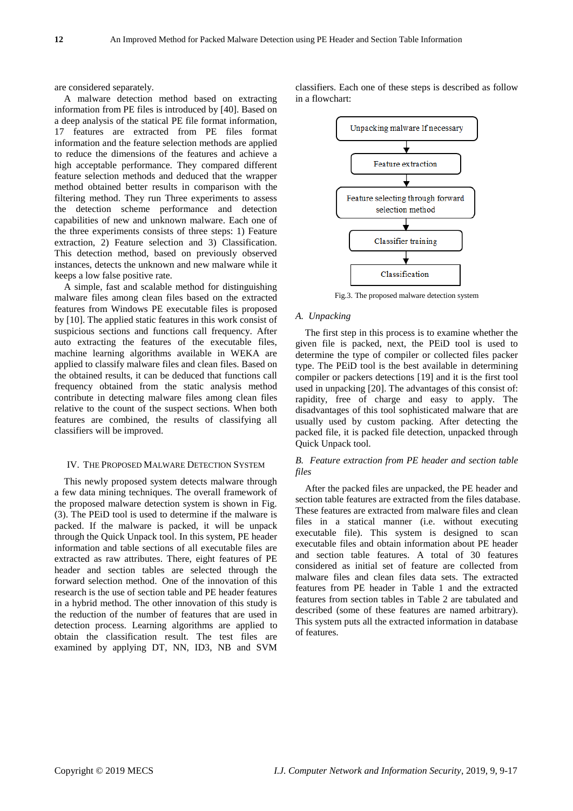are considered separately.

A malware detection method based on extracting information from PE files is introduced by [40]. Based on a deep analysis of the statical PE file format information, 17 features are extracted from PE files format information and the feature selection methods are applied to reduce the dimensions of the features and achieve a high acceptable performance. They compared different feature selection methods and deduced that the wrapper method obtained better results in comparison with the filtering method. They run Three experiments to assess the detection scheme performance and detection capabilities of new and unknown malware. Each one of the three experiments consists of three steps: 1) Feature extraction, 2) Feature selection and 3) Classification. This detection method, based on previously observed instances, detects the unknown and new malware while it keeps a low false positive rate.

A simple, fast and scalable method for distinguishing malware files among clean files based on the extracted features from Windows PE executable files is proposed by [10]. The applied static features in this work consist of suspicious sections and functions call frequency. After auto extracting the features of the executable files, machine learning algorithms available in WEKA are applied to classify malware files and clean files. Based on the obtained results, it can be deduced that functions call frequency obtained from the static analysis method contribute in detecting malware files among clean files relative to the count of the suspect sections. When both features are combined, the results of classifying all classifiers will be improved.

#### IV. THE PROPOSED MALWARE DETECTION SYSTEM

This newly proposed system detects malware through a few data mining techniques. The overall framework of the proposed malware detection system is shown in Fig. (3). The PEiD tool is used to determine if the malware is packed. If the malware is packed, it will be unpack through the Quick Unpack tool. In this system, PE header information and table sections of all executable files are extracted as raw attributes. There, eight features of PE header and section tables are selected through the forward selection method. One of the innovation of this research is the use of section table and PE header features in a hybrid method. The other innovation of this study is the reduction of the number of features that are used in detection process. Learning algorithms are applied to obtain the classification result. The test files are examined by applying DT, NN, ID3, NB and SVM

classifiers. Each one of these steps is described as follow in a flowchart:



Fig.3. The proposed malware detection system

## *A. Unpacking*

The first step in this process is to examine whether the given file is packed, next, the PEiD tool is used to determine the type of compiler or collected files packer type. The PEiD tool is the best available in determining compiler or packers detections [19] and it is the first tool used in unpacking [20]. The advantages of this consist of: rapidity, free of charge and easy to apply. The disadvantages of this tool sophisticated malware that are usually used by custom packing. After detecting the packed file, it is packed file detection, unpacked through Quick Unpack tool.

# *B. Feature extraction from PE header and section table files*

After the packed files are unpacked, the PE header and section table features are extracted from the files database. These features are extracted from malware files and clean files in a statical manner (i.e. without executing executable file). This system is designed to scan executable files and obtain information about PE header and section table features. A total of 30 features considered as initial set of feature are collected from malware files and clean files data sets. The extracted features from PE header in Table 1 and the extracted features from section tables in Table 2 are tabulated and described (some of these features are named arbitrary). This system puts all the extracted information in database of features.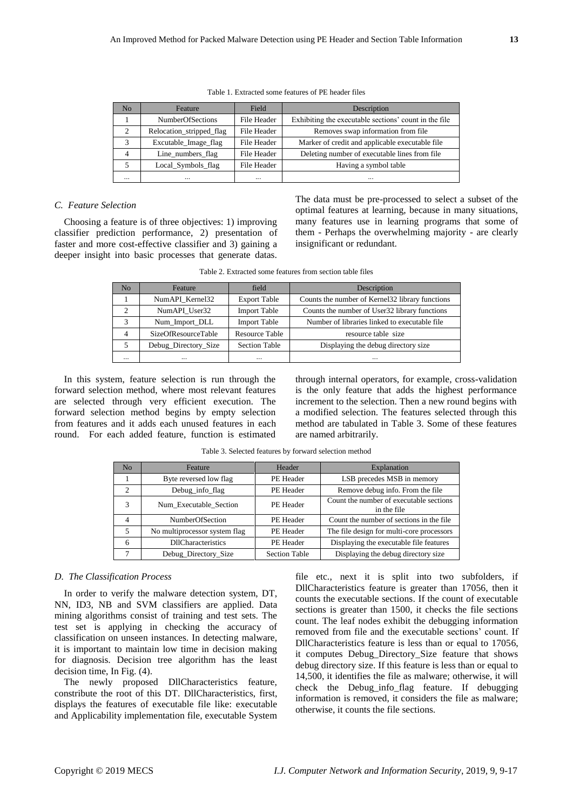| N <sub>0</sub> | Feature                  | Field       | Description                                           |  |
|----------------|--------------------------|-------------|-------------------------------------------------------|--|
|                | <b>NumberOfSections</b>  | File Header | Exhibiting the executable sections' count in the file |  |
| $\overline{c}$ | Relocation_stripped_flag | File Header | Removes swap information from file                    |  |
| 3              | Excutable_Image_flag     | File Header | Marker of credit and applicable executable file       |  |
| $\overline{4}$ | Line_numbers_flag        | File Header | Deleting number of executable lines from file         |  |
|                | Local_Symbols_flag       | File Header | Having a symbol table                                 |  |
| $\ddotsc$      | $\cdot \cdot$            | $\cdots$    | $\ddotsc$                                             |  |

Table 1. Extracted some features of PE header files

# *C. Feature Selection*

Choosing a feature is of three objectives: 1) improving classifier prediction performance, 2) presentation of faster and more cost-effective classifier and 3) gaining a deeper insight into basic processes that generate datas.

The data must be pre-processed to select a subset of the optimal features at learning, because in many situations, many features use in learning programs that some of them - Perhaps the overwhelming majority - are clearly insignificant or redundant.

| No                | Feature              | field                 | Description                                      |
|-------------------|----------------------|-----------------------|--------------------------------------------------|
|                   | NumAPI Kernel32      | <b>Export Table</b>   | Counts the number of Kernel 32 library functions |
|                   | NumAPI User32        | <b>Import Table</b>   | Counts the number of User32 library functions    |
| $\mathbf{\Omega}$ | Num_Import_DLL       | <b>Import Table</b>   | Number of libraries linked to executable file.   |
|                   | SizeOfResourceTable  | <b>Resource Table</b> | resource table size                              |
|                   | Debug_Directory_Size | <b>Section Table</b>  | Displaying the debug directory size              |
| $\ddotsc$         |                      | $\cdots$              | $\cdot \cdot$                                    |

Table 2. Extracted some features from section table files

In this system, feature selection is run through the forward selection method, where most relevant features are selected through very efficient execution. The forward selection method begins by empty selection from features and it adds each unused features in each round. For each added feature, function is estimated

through internal operators, for example, cross-validation is the only feature that adds the highest performance increment to the selection. Then a new round begins with a modified selection. The features selected through this method are tabulated in Table 3. Some of these features are named arbitrarily.

| N <sub>o</sub> | Feature                       | Header               | Explanation                                            |
|----------------|-------------------------------|----------------------|--------------------------------------------------------|
|                | Byte reversed low flag        | PE Header            | LSB precedes MSB in memory                             |
| $\overline{c}$ | Debug_info_flag               | PE Header            | Remove debug info. From the file                       |
| 3              | Num Executable Section        | PE Header            | Count the number of executable sections<br>in the file |
| 4              | NumberOfSection               | PE Header            | Count the number of sections in the file               |
|                | No multiprocessor system flag | PE Header            | The file design for multi-core processors              |
| 6              | <b>DIICharacteristics</b>     | PE Header            | Displaying the executable file features                |
|                | Debug Directory Size          | <b>Section Table</b> | Displaying the debug directory size                    |

Table 3. Selected features by forward selection method

#### *D. The Classification Process*

In order to verify the malware detection system, DT, NN, ID3, NB and SVM classifiers are applied. Data mining algorithms consist of training and test sets. The test set is applying in checking the accuracy of classification on unseen instances. In detecting malware, it is important to maintain low time in decision making for diagnosis. Decision tree algorithm has the least decision time, In Fig. (4).

The newly proposed DllCharacteristics feature, constribute the root of this DT. DllCharacteristics, first, displays the features of executable file like: executable and Applicability implementation file, executable System

file etc., next it is split into two subfolders, if DllCharacteristics feature is greater than 17056, then it counts the executable sections. If the count of executable sections is greater than 1500, it checks the file sections count. The leaf nodes exhibit the debugging information removed from file and the executable sections' count. If DllCharacteristics feature is less than or equal to 17056, it computes Debug\_Directory\_Size feature that shows debug directory size. If this feature is less than or equal to 14,500, it identifies the file as malware; otherwise, it will check the Debug\_info\_flag feature. If debugging information is removed, it considers the file as malware; otherwise, it counts the file sections.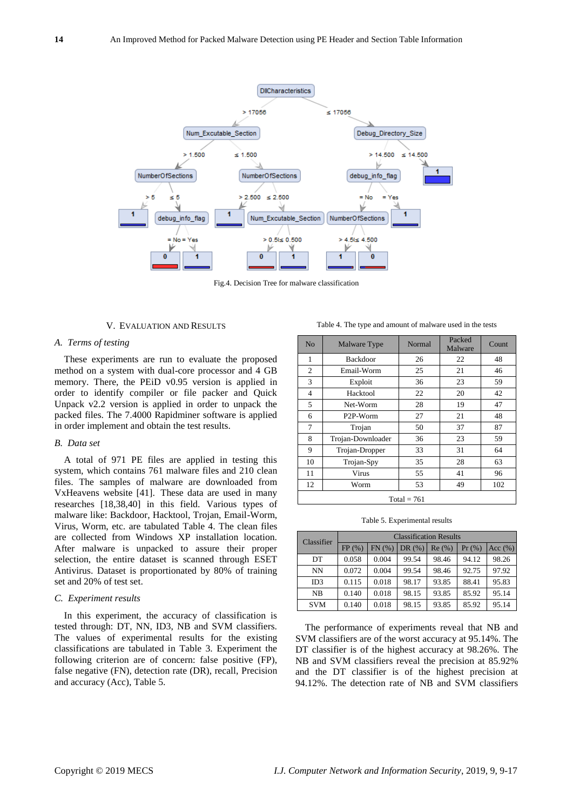

Fig.4. Decision Tree for malware classification

## V. EVALUATION AND RESULTS

## *A. Terms of testing*

These experiments are run to evaluate the proposed method on a system with dual-core processor and 4 GB memory. There, the PEiD v0.95 version is applied in order to identify compiler or file packer and Quick Unpack v2.2 version is applied in order to unpack the packed files. The 7.4000 Rapidminer software is applied in order implement and obtain the test results.

## *B. Data set*

A total of 971 PE files are applied in testing this system, which contains 761 malware files and 210 clean files. The samples of malware are downloaded from VxHeavens website [41]. These data are used in many researches [18,38,40] in this field. Various types of malware like: Backdoor, Hacktool, Trojan, Email-Worm, Virus, Worm, etc. are tabulated Table 4. The clean files are collected from Windows XP installation location. After malware is unpacked to assure their proper selection, the entire dataset is scanned through ESET Antivirus. Dataset is proportionated by 80% of training set and 20% of test set.

## *C. Experiment results*

In this experiment, the accuracy of classification is tested through: DT, NN, ID3, NB and SVM classifiers. The values of experimental results for the existing classifications are tabulated in Table 3. Experiment the following criterion are of concern: false positive (FP), false negative (FN), detection rate (DR), recall, Precision and accuracy (Acc), Table 5.

Table 4. The type and amount of malware used in the tests

| No             | Malware Type          | Normal | Packed<br>Malware | Count |  |  |
|----------------|-----------------------|--------|-------------------|-------|--|--|
| 1              | <b>Backdoor</b>       | 26     | 22                | 48    |  |  |
| $\mathfrak{2}$ | Email-Worm            | 25     | 21                | 46    |  |  |
| 3              | Exploit               | 36     | 23                | 59    |  |  |
| 4              | Hacktool              | 22     | 20                | 42    |  |  |
| 5              | Net-Worm              | 28     | 19                | 47    |  |  |
| 6              | P <sub>2</sub> P-Worm | 27     | 21                | 48    |  |  |
| 7              | Trojan                | 50     | 37                | 87    |  |  |
| 8              | Trojan-Downloader     | 36     | 23                | 59    |  |  |
| 9              | Trojan-Dropper        | 33     | 31                | 64    |  |  |
| 10             | Trojan-Spy            | 35     | 28                | 63    |  |  |
| 11             | Virus                 | 55     | 41                | 96    |  |  |
| 12             | Worm                  | 53     | 49                | 102   |  |  |
| Total = $761$  |                       |        |                   |       |  |  |

Table 5. Experimental results

| Classifier | <b>Classification Results</b> |       |       |       |       |            |  |
|------------|-------------------------------|-------|-------|-------|-------|------------|--|
|            | FP(%)                         | FN(%) | DR(%) | Re(%) | Pr(%) | Acc $(% )$ |  |
| DT         | 0.058                         | 0.004 | 99.54 | 98.46 | 94.12 | 98.26      |  |
| NΝ         | 0.072                         | 0.004 | 99.54 | 98.46 | 92.75 | 97.92      |  |
| ID3        | 0.115                         | 0.018 | 98.17 | 93.85 | 88.41 | 95.83      |  |
| <b>NB</b>  | 0.140                         | 0.018 | 98.15 | 93.85 | 85.92 | 95.14      |  |
| <b>SVM</b> | 0.140                         | 0.018 | 98.15 | 93.85 | 85.92 | 95.14      |  |

The performance of experiments reveal that NB and SVM classifiers are of the worst accuracy at 95.14%. The DT classifier is of the highest accuracy at 98.26%. The NB and SVM classifiers reveal the precision at 85.92% and the DT classifier is of the highest precision at 94.12%. The detection rate of NB and SVM classifiers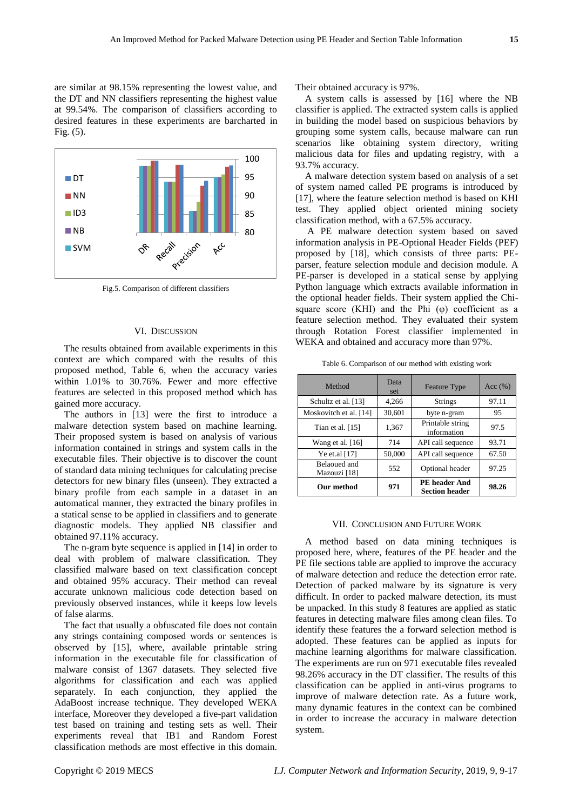are similar at 98.15% representing the lowest value, and the DT and NN classifiers representing the highest value at 99.54%. The comparison of classifiers according to desired features in these experiments are barcharted in Fig. (5).



Fig.5. Comparison of different classifiers

## VI. DISCUSSION

The results obtained from available experiments in this context are which compared with the results of this proposed method, Table 6, when the accuracy varies within 1.01% to 30.76%. Fewer and more effective features are selected in this proposed method which has gained more accuracy.

The authors in [13] were the first to introduce a malware detection system based on machine learning. Their proposed system is based on analysis of various information contained in strings and system calls in the executable files. Their objective is to discover the count of standard data mining techniques for calculating precise detectors for new binary files (unseen). They extracted a binary profile from each sample in a dataset in an automatical manner, they extracted the binary profiles in a statical sense to be applied in classifiers and to generate diagnostic models. They applied NB classifier and obtained 97.11% accuracy.

The n-gram byte sequence is applied in [14] in order to deal with problem of malware classification. They classified malware based on text classification concept and obtained 95% accuracy. Their method can reveal accurate unknown malicious code detection based on previously observed instances, while it keeps low levels of false alarms.

The fact that usually a obfuscated file does not contain any strings containing composed words or sentences is observed by [15], where, available printable string information in the executable file for classification of malware consist of 1367 datasets. They selected five algorithms for classification and each was applied separately. In each conjunction, they applied the AdaBoost increase technique. They developed WEKA interface, Moreover they developed a five-part validation test based on training and testing sets as well. Their experiments reveal that IB1 and Random Forest classification methods are most effective in this domain.

Their obtained accuracy is 97%.

A system calls is assessed by [16] where the NB classifier is applied. The extracted system calls is applied in building the model based on suspicious behaviors by grouping some system calls, because malware can run scenarios like obtaining system directory, writing malicious data for files and updating registry, with a 93.7% accuracy.

A malware detection system based on analysis of a set of system named called PE programs is introduced by [17], where the feature selection method is based on KHI test. They applied object oriented mining society classification method, with a 67.5% accuracy.

A PE malware detection system based on saved information analysis in PE-Optional Header Fields (PEF) proposed by [18], which consists of three parts: PEparser, feature selection module and decision module. A PE-parser is developed in a statical sense by applying Python language which extracts available information in the optional header fields. Their system applied the Chisquare score (KHI) and the Phi  $(\varphi)$  coefficient as a feature selection method. They evaluated their system through Rotation Forest classifier implemented in WEKA and obtained and accuracy more than 97%.

Table 6. Comparison of our method with existing work

| Method                       | Data<br>set | <b>Feature Type</b>                           | Acc $(\% )$ |
|------------------------------|-------------|-----------------------------------------------|-------------|
| Schultz et al. [13]          | 4,266       | <b>Strings</b>                                | 97.11       |
| Moskovitch et al. [14]       | 30,601      | byte n-gram                                   | 95          |
| Tian et al. $[15]$           | 1,367       | Printable string<br>information               | 97.5        |
| Wang et al. $[16]$           | 714         | API call sequence                             | 93.71       |
| Ye et.al [17]                | 50,000      | API call sequence                             | 67.50       |
| Belaoued and<br>Mazouzi [18] | 552         | Optional header                               | 97.25       |
| Our method                   | 971         | <b>PE</b> header And<br><b>Section header</b> | 98.26       |

#### VII. CONCLUSION AND FUTURE WORK

A method based on data mining techniques is proposed here, where, features of the PE header and the PE file sections table are applied to improve the accuracy of malware detection and reduce the detection error rate. Detection of packed malware by its signature is very difficult. In order to packed malware detection, its must be unpacked. In this study 8 features are applied as static features in detecting malware files among clean files. To identify these features the a forward selection method is adopted. These features can be applied as inputs for machine learning algorithms for malware classification. The experiments are run on 971 executable files revealed 98.26% accuracy in the DT classifier. The results of this classification can be applied in anti-virus programs to improve of malware detection rate. As a future work, many dynamic features in the context can be combined in order to increase the accuracy in malware detection system.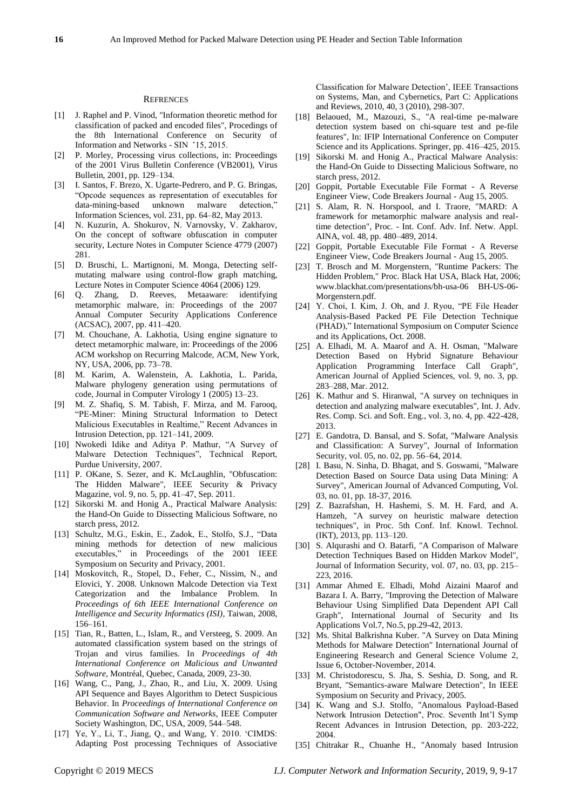## **REFRENCES**

- [1] J. Raphel and P. Vinod, "Information theoretic method for classification of packed and encoded files", Procedings of the 8th International Conference on Security of Information and Networks - SIN "15, 2015.
- [2] P. Morley, Processing virus collections, in: Proceedings of the 2001 Virus Bulletin Conference (VB2001), Virus Bulletin, 2001, pp. 129–134.
- [3] I. Santos, F. Brezo, X. Ugarte-Pedrero, and P. G. Bringas, "Opcode sequences as representation of executables for data-mining-based unknown malware detection," Information Sciences, vol. 231, pp. 64–82, May 2013.
- [4] N. Kuzurin, A. Shokurov, N. Varnovsky, V. Zakharov, On the concept of software obfuscation in computer security, Lecture Notes in Computer Science 4779 (2007) 281.
- [5] D. Bruschi, L. Martignoni, M. Monga, Detecting selfmutating malware using control-flow graph matching, Lecture Notes in Computer Science 4064 (2006) 129.
- [6] Q. Zhang, D. Reeves, Metaaware: identifying metamorphic malware, in: Proceedings of the 2007 Annual Computer Security Applications Conference (ACSAC), 2007, pp. 411–420.
- [7] M. Chouchane, A. Lakhotia, Using engine signature to detect metamorphic malware, in: Proceedings of the 2006 ACM workshop on Recurring Malcode, ACM, New York, NY, USA, 2006, pp. 73–78.
- [8] M. Karim, A. Walenstein, A. Lakhotia, L. Parida, Malware phylogeny generation using permutations of code, Journal in Computer Virology 1 (2005) 13–23.
- [9] M. Z. Shafiq, S. M. Tabish, F. Mirza, and M. Farooq, "PE-Miner: Mining Structural Information to Detect Malicious Executables in Realtime," Recent Advances in Intrusion Detection, pp. 121–141, 2009.
- [10] Nwokedi Idike and Aditya P. Mathur, "A Survey of Malware Detection Techniques", Technical Report, Purdue University, 2007.
- [11] P. OKane, S. Sezer, and K. McLaughlin, "Obfuscation: The Hidden Malware", IEEE Security & Privacy Magazine, vol. 9, no. 5, pp. 41–47, Sep. 2011.
- [12] Sikorski M. and Honig A., Practical Malware Analysis: the Hand-On Guide to Dissecting Malicious Software, no starch press, 2012.
- [13] Schultz, M.G., Eskin, E., Zadok, E., Stolfo, S.J., "Data mining methods for detection of new malicious executables," in Proceedings of the 2001 IEEE Symposium on Security and Privacy, 2001.
- [14] Moskovitch, R., Stopel, D., Feher, C., Nissim, N., and Elovici, Y. 2008. Unknown Malcode Detection via Text Categorization and the Imbalance Problem. In *Proceedings of 6th IEEE International Conference on Intelligence and Security Informatics (ISI)*, Taiwan, 2008, 156–161.
- [15] Tian, R., Batten, L., Islam, R., and Versteeg, S. 2009. An automated classification system based on the strings of Trojan and virus families. In *Proceedings of 4th International Conference on Malicious and Unwanted Software*, Montréal, Quebec, Canada, 2009, 23-30.
- [16] Wang, C., Pang, J., Zhao, R., and Liu, X. 2009. Using API Sequence and Bayes Algorithm to Detect Suspicious Behavior. In *Proceedings of International Conference on Communication Software and Networks*, IEEE Computer Society Washington, DC, USA, 2009, 544–548.
- [17] Ye, Y., Li, T., Jiang, Q., and Wang, Y. 2010. "CIMDS: Adapting Post processing Techniques of Associative

Classification for Malware Detection", IEEE Transactions on Systems, Man, and Cybernetics, Part C: Applications and Reviews, 2010, 40, 3 (2010), 298-307.

- [18] Belaoued, M., Mazouzi, S., "A real-time pe-malware detection system based on chi-square test and pe-file features", In: IFIP International Conference on Computer Science and its Applications. Springer, pp. 416–425, 2015.
- [19] Sikorski M. and Honig A., Practical Malware Analysis: the Hand-On Guide to Dissecting Malicious Software, no starch press, 2012.
- [20] Goppit, Portable Executable File Format A Reverse Engineer View, Code Breakers Journal - Aug 15, 2005.
- [21] S. Alam, R. N. Horspool, and I. Traore, "MARD: A framework for metamorphic malware analysis and realtime detection", Proc. - Int. Conf. Adv. Inf. Netw. Appl. AINA, vol. 48, pp. 480–489, 2014.
- [22] Goppit, Portable Executable File Format A Reverse Engineer View, Code Breakers Journal - Aug 15, 2005.
- [23] T. Brosch and M. Morgenstern, "Runtime Packers: The Hidden Problem," Proc. Black Hat USA, Black Hat, 2006; www.blackhat.com/presentations/bh-usa-06 BH-US-06- Morgenstern.pdf.
- [24] Y. Choi, I. Kim, J. Oh, and J. Ryou, "PE File Header Analysis-Based Packed PE File Detection Technique (PHAD)," International Symposium on Computer Science and its Applications, Oct. 2008.
- [25] A. Elhadi, M. A. Maarof and A. H. Osman, "Malware Detection Based on Hybrid Signature Behaviour Application Programming Interface Call Graph", American Journal of Applied Sciences, vol. 9, no. 3, pp. 283–288, Mar. 2012.
- [26] K. Mathur and S. Hiranwal, "A survey on techniques in detection and analyzing malware executables", Int. J. Adv. Res. Comp. Sci. and Soft. Eng.*,* vol. 3, no. 4, pp. 422-428, 2013.
- [27] E. Gandotra, D. Bansal, and S. Sofat, "Malware Analysis and Classification: A Survey", Journal of Information Security, vol. 05, no. 02, pp. 56–64, 2014.
- [28] I. Basu, N. Sinha, D. Bhagat, and S. Goswami, "Malware Detection Based on Source Data using Data Mining: A Survey", American Journal of Advanced Computing, Vol. 03, no. 01, pp. 18-37, 2016.
- [29] Z. Bazrafshan, H. Hashemi, S. M. H. Fard, and A. Hamzeh, "A survey on heuristic malware detection techniques", in Proc. 5th Conf. Inf. Knowl. Technol. (IKT), 2013, pp. 113–120.
- [30] S. Alqurashi and O. Batarfi, "A Comparison of Malware Detection Techniques Based on Hidden Markov Model", Journal of Information Security, vol. 07, no. 03, pp. 215– 223, 2016.
- [31] Ammar Ahmed E. Elhadi, Mohd Aizaini Maarof and Bazara I. A. Barry, "Improving the Detection of Malware Behaviour Using Simplified Data Dependent API Call Graph", International Journal of Security and Its Applications Vol.7, No.5, pp.29-42, 2013.
- [32] Ms. Shital Balkrishna Kuber. "A Survey on Data Mining Methods for Malware Detection" International Journal of Engineering Research and General Science Volume 2, Issue 6, October-November, 2014.
- [33] M. Christodorescu, S. Jha, S. Seshia, D. Song, and R. Bryant, "Semantics-aware Malware Detection", In IEEE Symposium on Security and Privacy, 2005.
- [34] K. Wang and S.J. Stolfo, "Anomalous Payload-Based Network Intrusion Detection", Proc. Seventh Int'l Symp Recent Advances in Intrusion Detection, pp. 203-222, 2004.
- [35] Chitrakar R., Chuanhe H., "Anomaly based Intrusion